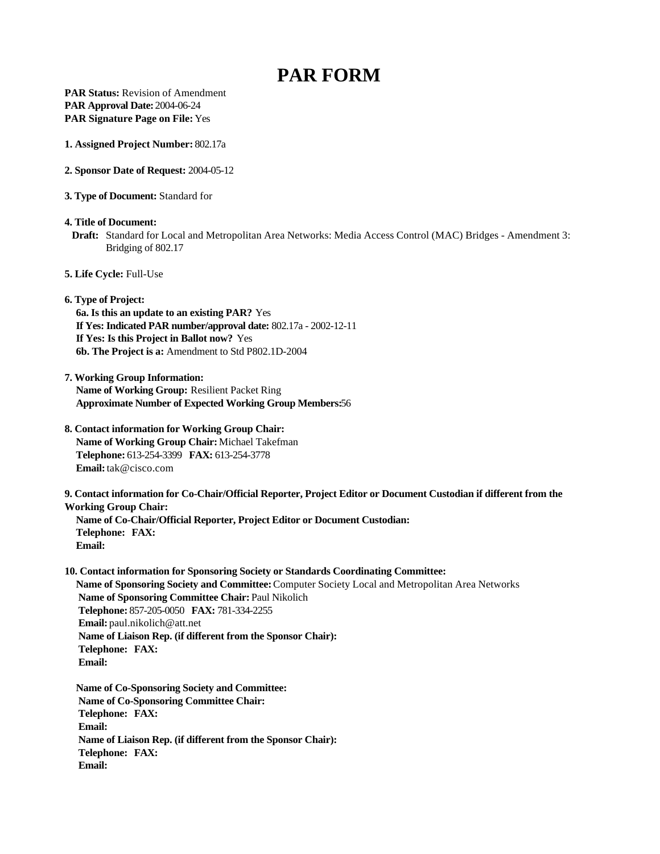# **PAR FORM**

**PAR Status: Revision of Amendment PAR Approval Date:** 2004-06-24 **PAR Signature Page on File:** Yes

**1. Assigned Project Number:** 802.17a

### **2. Sponsor Date of Request:** 2004-05-12

**3. Type of Document:** Standard for

**4. Title of Document:** 

 **Draft:** Standard for Local and Metropolitan Area Networks: Media Access Control (MAC) Bridges - Amendment 3: Bridging of 802.17

**5. Life Cycle:** Full-Use

**6. Type of Project:**

**6a. Is this an update to an existing PAR?** Yes **If Yes: Indicated PAR number/approval date:** 802.17a - 2002-12-11 **If Yes: Is this Project in Ballot now?** Yes **6b. The Project is a:** Amendment to Std P802.1D-2004

**7. Working Group Information: Name of Working Group:** Resilient Packet Ring **Approximate Number of Expected Working Group Members:**56

**8. Contact information for Working Group Chair: Name of Working Group Chair:** Michael Takefman **Telephone:** 613-254-3399 **FAX:** 613-254-3778 **Email:** tak@cisco.com

**9. Contact information for Co-Chair/Official Reporter, Project Editor or Document Custodian if different from the Working Group Chair: Name of Co-Chair/Official Reporter, Project Editor or Document Custodian:** 

**Telephone: FAX: Email:**

**10. Contact information for Sponsoring Society or Standards Coordinating Committee: Name of Sponsoring Society and Committee:** Computer Society Local and Metropolitan Area Networks  **Name of Sponsoring Committee Chair:** Paul Nikolich  **Telephone:** 857-205-0050 **FAX:** 781-334-2255  **Email:** paul.nikolich@att.net  **Name of Liaison Rep. (if different from the Sponsor Chair): Telephone: FAX: Email:**

**Name of Co-Sponsoring Society and Committee: Name of Co-Sponsoring Committee Chair: Telephone: FAX: Email: Name of Liaison Rep. (if different from the Sponsor Chair): Telephone: FAX: Email:**